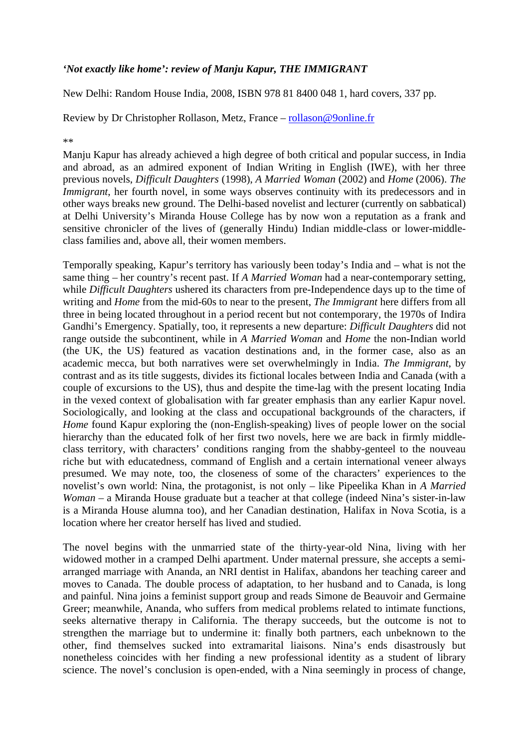## *'Not exactly like home': review of Manju Kapur, THE IMMIGRANT*

New Delhi: Random House India, 2008, ISBN 978 81 8400 048 1, hard covers, 337 pp.

Review by Dr Christopher Rollason, Metz, France – rollason@9online.fr

\*\*

Manju Kapur has already achieved a high degree of both critical and popular success, in India and abroad, as an admired exponent of Indian Writing in English (IWE), with her three previous novels, *Difficult Daughters* (1998), *A Married Woman* (2002) and *Home* (2006). *The Immigrant*, her fourth novel, in some ways observes continuity with its predecessors and in other ways breaks new ground. The Delhi-based novelist and lecturer (currently on sabbatical) at Delhi University's Miranda House College has by now won a reputation as a frank and sensitive chronicler of the lives of (generally Hindu) Indian middle-class or lower-middleclass families and, above all, their women members.

Temporally speaking, Kapur's territory has variously been today's India and – what is not the same thing – her country's recent past. If *A Married Woman* had a near-contemporary setting, while *Difficult Daughters* ushered its characters from pre-Independence days up to the time of writing and *Home* from the mid-60s to near to the present, *The Immigrant* here differs from all three in being located throughout in a period recent but not contemporary, the 1970s of Indira Gandhi's Emergency. Spatially, too, it represents a new departure: *Difficult Daughters* did not range outside the subcontinent, while in *A Married Woman* and *Home* the non-Indian world (the UK, the US) featured as vacation destinations and, in the former case, also as an academic mecca, but both narratives were set overwhelmingly in India. *The Immigrant*, by contrast and as its title suggests, divides its fictional locales between India and Canada (with a couple of excursions to the US), thus and despite the time-lag with the present locating India in the vexed context of globalisation with far greater emphasis than any earlier Kapur novel. Sociologically, and looking at the class and occupational backgrounds of the characters, if *Home* found Kapur exploring the (non-English-speaking) lives of people lower on the social hierarchy than the educated folk of her first two novels, here we are back in firmly middleclass territory, with characters' conditions ranging from the shabby-genteel to the nouveau riche but with educatedness, command of English and a certain international veneer always presumed. We may note, too, the closeness of some of the characters' experiences to the novelist's own world: Nina, the protagonist, is not only – like Pipeelika Khan in *A Married Woman* – a Miranda House graduate but a teacher at that college (indeed Nina's sister-in-law is a Miranda House alumna too), and her Canadian destination, Halifax in Nova Scotia, is a location where her creator herself has lived and studied.

The novel begins with the unmarried state of the thirty-year-old Nina, living with her widowed mother in a cramped Delhi apartment. Under maternal pressure, she accepts a semiarranged marriage with Ananda, an NRI dentist in Halifax, abandons her teaching career and moves to Canada. The double process of adaptation, to her husband and to Canada, is long and painful. Nina joins a feminist support group and reads Simone de Beauvoir and Germaine Greer; meanwhile, Ananda, who suffers from medical problems related to intimate functions, seeks alternative therapy in California. The therapy succeeds, but the outcome is not to strengthen the marriage but to undermine it: finally both partners, each unbeknown to the other, find themselves sucked into extramarital liaisons. Nina's ends disastrously but nonetheless coincides with her finding a new professional identity as a student of library science. The novel's conclusion is open-ended, with a Nina seemingly in process of change,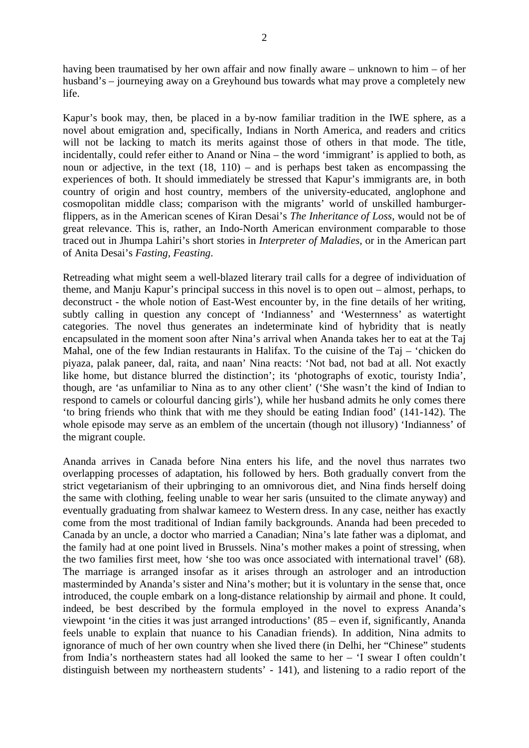having been traumatised by her own affair and now finally aware – unknown to him – of her husband's – journeying away on a Greyhound bus towards what may prove a completely new life.

Kapur's book may, then, be placed in a by-now familiar tradition in the IWE sphere, as a novel about emigration and, specifically, Indians in North America, and readers and critics will not be lacking to match its merits against those of others in that mode. The title, incidentally, could refer either to Anand or Nina – the word 'immigrant' is applied to both, as noun or adjective, in the text (18, 110) – and is perhaps best taken as encompassing the experiences of both. It should immediately be stressed that Kapur's immigrants are, in both country of origin and host country, members of the university-educated, anglophone and cosmopolitan middle class; comparison with the migrants' world of unskilled hamburgerflippers, as in the American scenes of Kiran Desai's *The Inheritance of Loss*, would not be of great relevance. This is, rather, an Indo-North American environment comparable to those traced out in Jhumpa Lahiri's short stories in *Interpreter of Maladies*, or in the American part of Anita Desai's *Fasting, Feasting*.

Retreading what might seem a well-blazed literary trail calls for a degree of individuation of theme, and Manju Kapur's principal success in this novel is to open out – almost, perhaps, to deconstruct - the whole notion of East-West encounter by, in the fine details of her writing, subtly calling in question any concept of 'Indianness' and 'Westernness' as watertight categories. The novel thus generates an indeterminate kind of hybridity that is neatly encapsulated in the moment soon after Nina's arrival when Ananda takes her to eat at the Taj Mahal, one of the few Indian restaurants in Halifax. To the cuisine of the Taj – 'chicken do piyaza, palak paneer, dal, raita, and naan' Nina reacts: 'Not bad, not bad at all. Not exactly like home, but distance blurred the distinction'; its 'photographs of exotic, touristy India', though, are 'as unfamiliar to Nina as to any other client' ('She wasn't the kind of Indian to respond to camels or colourful dancing girls'), while her husband admits he only comes there 'to bring friends who think that with me they should be eating Indian food' (141-142). The whole episode may serve as an emblem of the uncertain (though not illusory) 'Indianness' of the migrant couple.

Ananda arrives in Canada before Nina enters his life, and the novel thus narrates two overlapping processes of adaptation, his followed by hers. Both gradually convert from the strict vegetarianism of their upbringing to an omnivorous diet, and Nina finds herself doing the same with clothing, feeling unable to wear her saris (unsuited to the climate anyway) and eventually graduating from shalwar kameez to Western dress. In any case, neither has exactly come from the most traditional of Indian family backgrounds. Ananda had been preceded to Canada by an uncle, a doctor who married a Canadian; Nina's late father was a diplomat, and the family had at one point lived in Brussels. Nina's mother makes a point of stressing, when the two families first meet, how 'she too was once associated with international travel' (68). The marriage is arranged insofar as it arises through an astrologer and an introduction masterminded by Ananda's sister and Nina's mother; but it is voluntary in the sense that, once introduced, the couple embark on a long-distance relationship by airmail and phone. It could, indeed, be best described by the formula employed in the novel to express Ananda's viewpoint 'in the cities it was just arranged introductions' (85 – even if, significantly, Ananda feels unable to explain that nuance to his Canadian friends). In addition, Nina admits to ignorance of much of her own country when she lived there (in Delhi, her "Chinese" students from India's northeastern states had all looked the same to her – 'I swear I often couldn't distinguish between my northeastern students' - 141), and listening to a radio report of the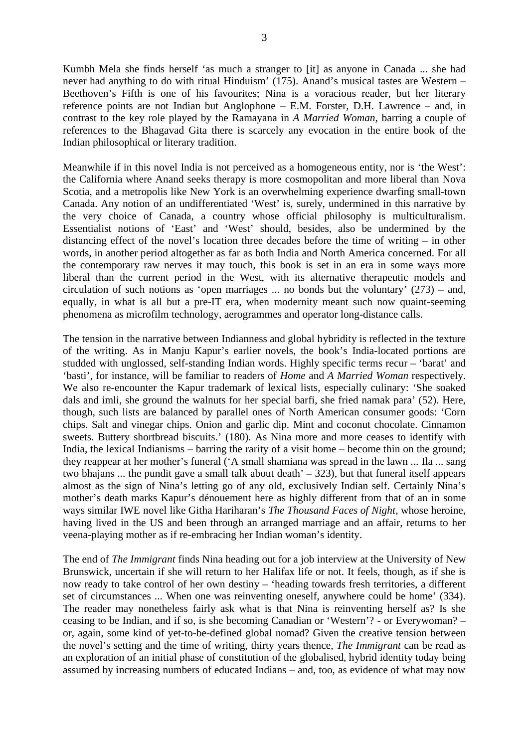Kumbh Mela she finds herself 'as much a stranger to [it] as anyone in Canada ... she had never had anything to do with ritual Hinduism' (175). Anand's musical tastes are Western – Beethoven's Fifth is one of his favourites; Nina is a voracious reader, but her literary reference points are not Indian but Anglophone – E.M. Forster, D.H. Lawrence – and, in contrast to the key role played by the Ramayana in *A Married Woman*, barring a couple of references to the Bhagavad Gita there is scarcely any evocation in the entire book of the Indian philosophical or literary tradition.

Meanwhile if in this novel India is not perceived as a homogeneous entity, nor is 'the West': the California where Anand seeks therapy is more cosmopolitan and more liberal than Nova Scotia, and a metropolis like New York is an overwhelming experience dwarfing small-town Canada. Any notion of an undifferentiated 'West' is, surely, undermined in this narrative by the very choice of Canada, a country whose official philosophy is multiculturalism. Essentialist notions of 'East' and 'West' should, besides, also be undermined by the distancing effect of the novel's location three decades before the time of writing – in other words, in another period altogether as far as both India and North America concerned. For all the contemporary raw nerves it may touch, this book is set in an era in some ways more liberal than the current period in the West, with its alternative therapeutic models and circulation of such notions as 'open marriages ... no bonds but the voluntary' (273) – and, equally, in what is all but a pre-IT era, when modernity meant such now quaint-seeming phenomena as microfilm technology, aerogrammes and operator long-distance calls.

The tension in the narrative between Indianness and global hybridity is reflected in the texture of the writing. As in Manju Kapur's earlier novels, the book's India-located portions are studded with unglossed, self-standing Indian words. Highly specific terms recur – 'barat' and 'basti', for instance, will be familiar to readers of *Home* and *A Married Woman* respectively. We also re-encounter the Kapur trademark of lexical lists, especially culinary: 'She soaked dals and imli, she ground the walnuts for her special barfi, she fried namak para' (52). Here, though, such lists are balanced by parallel ones of North American consumer goods: 'Corn chips. Salt and vinegar chips. Onion and garlic dip. Mint and coconut chocolate. Cinnamon sweets. Buttery shortbread biscuits.' (180). As Nina more and more ceases to identify with India, the lexical Indianisms – barring the rarity of a visit home – become thin on the ground; they reappear at her mother's funeral ('A small shamiana was spread in the lawn ... Ila ... sang two bhajans ... the pundit gave a small talk about death'  $-$  323), but that funeral itself appears almost as the sign of Nina's letting go of any old, exclusively Indian self. Certainly Nina's mother's death marks Kapur's dénouement here as highly different from that of an in some ways similar IWE novel like Githa Hariharan's *The Thousand Faces of Night*, whose heroine, having lived in the US and been through an arranged marriage and an affair, returns to her veena-playing mother as if re-embracing her Indian woman's identity.

The end of *The Immigrant* finds Nina heading out for a job interview at the University of New Brunswick, uncertain if she will return to her Halifax life or not. It feels, though, as if she is now ready to take control of her own destiny – 'heading towards fresh territories, a different set of circumstances ... When one was reinventing oneself, anywhere could be home' (334). The reader may nonetheless fairly ask what is that Nina is reinventing herself as? Is she ceasing to be Indian, and if so, is she becoming Canadian or 'Western'? - or Everywoman? – or, again, some kind of yet-to-be-defined global nomad? Given the creative tension between the novel's setting and the time of writing, thirty years thence, *The Immigrant* can be read as an exploration of an initial phase of constitution of the globalised, hybrid identity today being assumed by increasing numbers of educated Indians – and, too, as evidence of what may now